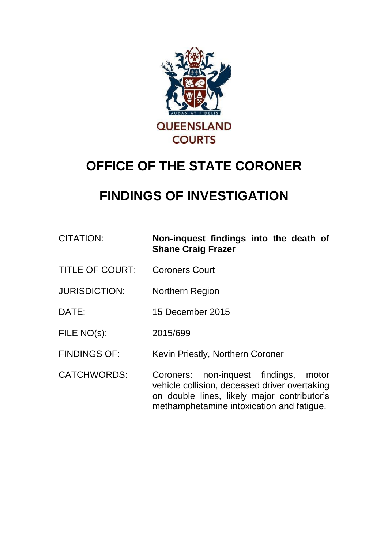

# **OFFICE OF THE STATE CORONER**

## **FINDINGS OF INVESTIGATION**

| <b>CITATION:</b>       | Non-inquest findings into the death of<br><b>Shane Craig Frazer</b>                                                                                                                   |
|------------------------|---------------------------------------------------------------------------------------------------------------------------------------------------------------------------------------|
| <b>TITLE OF COURT:</b> | <b>Coroners Court</b>                                                                                                                                                                 |
| <b>JURISDICTION:</b>   | <b>Northern Region</b>                                                                                                                                                                |
| DATE:                  | 15 December 2015                                                                                                                                                                      |
| FILE NO(s):            | 2015/699                                                                                                                                                                              |
| <b>FINDINGS OF:</b>    | Kevin Priestly, Northern Coroner                                                                                                                                                      |
| <b>CATCHWORDS:</b>     | Coroners: non-inquest findings,<br>motor<br>vehicle collision, deceased driver overtaking<br>on double lines, likely major contributor's<br>methamphetamine intoxication and fatigue. |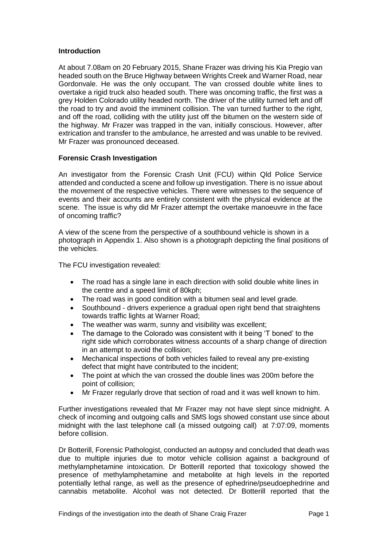#### **Introduction**

At about 7.08am on 20 February 2015, Shane Frazer was driving his Kia Pregio van headed south on the Bruce Highway between Wrights Creek and Warner Road, near Gordonvale. He was the only occupant. The van crossed double white lines to overtake a rigid truck also headed south. There was oncoming traffic, the first was a grey Holden Colorado utility headed north. The driver of the utility turned left and off the road to try and avoid the imminent collision. The van turned further to the right, and off the road, colliding with the utility just off the bitumen on the western side of the highway. Mr Frazer was trapped in the van, initially conscious. However, after extrication and transfer to the ambulance, he arrested and was unable to be revived. Mr Frazer was pronounced deceased.

#### **Forensic Crash Investigation**

An investigator from the Forensic Crash Unit (FCU) within Qld Police Service attended and conducted a scene and follow up investigation. There is no issue about the movement of the respective vehicles. There were witnesses to the sequence of events and their accounts are entirely consistent with the physical evidence at the scene. The issue is why did Mr Frazer attempt the overtake manoeuvre in the face of oncoming traffic?

A view of the scene from the perspective of a southbound vehicle is shown in a photograph in Appendix 1. Also shown is a photograph depicting the final positions of the vehicles.

The FCU investigation revealed:

- The road has a single lane in each direction with solid double white lines in the centre and a speed limit of 80kph;
- The road was in good condition with a bitumen seal and level grade.
- Southbound drivers experience a gradual open right bend that straightens towards traffic lights at Warner Road;
- The weather was warm, sunny and visibility was excellent:
- The damage to the Colorado was consistent with it being 'T boned' to the right side which corroborates witness accounts of a sharp change of direction in an attempt to avoid the collision;
- Mechanical inspections of both vehicles failed to reveal any pre-existing defect that might have contributed to the incident;
- The point at which the van crossed the double lines was 200m before the point of collision;
- Mr Frazer regularly drove that section of road and it was well known to him.

Further investigations revealed that Mr Frazer may not have slept since midnight. A check of incoming and outgoing calls and SMS logs showed constant use since about midnight with the last telephone call (a missed outgoing call) at 7:07:09, moments before collision.

Dr Botterill, Forensic Pathologist, conducted an autopsy and concluded that death was due to multiple injuries due to motor vehicle collision against a background of methylamphetamine intoxication. Dr Botterill reported that toxicology showed the presence of methylamphetamine and metabolite at high levels in the reported potentially lethal range, as well as the presence of ephedrine/pseudoephedrine and cannabis metabolite. Alcohol was not detected. Dr Botterill reported that the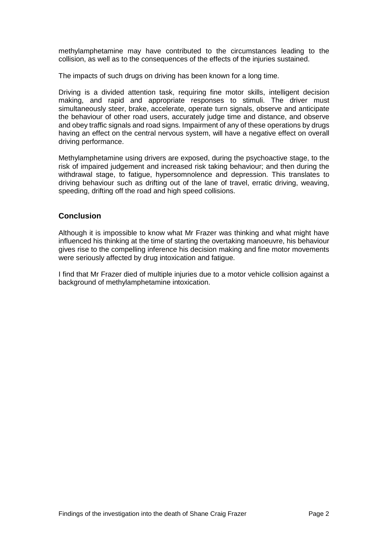methylamphetamine may have contributed to the circumstances leading to the collision, as well as to the consequences of the effects of the injuries sustained.

The impacts of such drugs on driving has been known for a long time.

Driving is a divided attention task, requiring fine motor skills, intelligent decision making, and rapid and appropriate responses to stimuli. The driver must simultaneously steer, brake, accelerate, operate turn signals, observe and anticipate the behaviour of other road users, accurately judge time and distance, and observe and obey traffic signals and road signs. Impairment of any of these operations by drugs having an effect on the central nervous system, will have a negative effect on overall driving performance.

Methylamphetamine using drivers are exposed, during the psychoactive stage, to the risk of impaired judgement and increased risk taking behaviour; and then during the withdrawal stage, to fatigue, hypersomnolence and depression. This translates to driving behaviour such as drifting out of the lane of travel, erratic driving, weaving, speeding, drifting off the road and high speed collisions.

### **Conclusion**

Although it is impossible to know what Mr Frazer was thinking and what might have influenced his thinking at the time of starting the overtaking manoeuvre, his behaviour gives rise to the compelling inference his decision making and fine motor movements were seriously affected by drug intoxication and fatigue.

I find that Mr Frazer died of multiple injuries due to a motor vehicle collision against a background of methylamphetamine intoxication.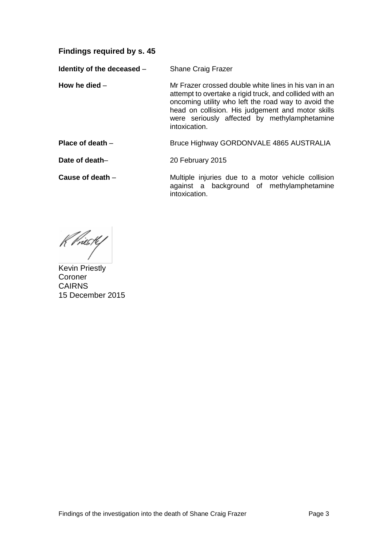**Findings required by s. 45**

**Identity of the deceased – Shane Craig Frazer** 

- **How he died** Mr Frazer crossed double white lines in his van in an attempt to overtake a rigid truck, and collided with an oncoming utility who left the road way to avoid the head on collision. His judgement and motor skills were seriously affected by methylamphetamine intoxication.
- **Place of death** Bruce Highway GORDONVALE 4865 AUSTRALIA

**Date of death–** 20 February 2015

**Cause of death** – **Multiple injuries due to a motor vehicle collision** against a background of methylamphetamine intoxication.

K Priesty

Kevin Priestly Coroner CAIRNS 15 December 2015